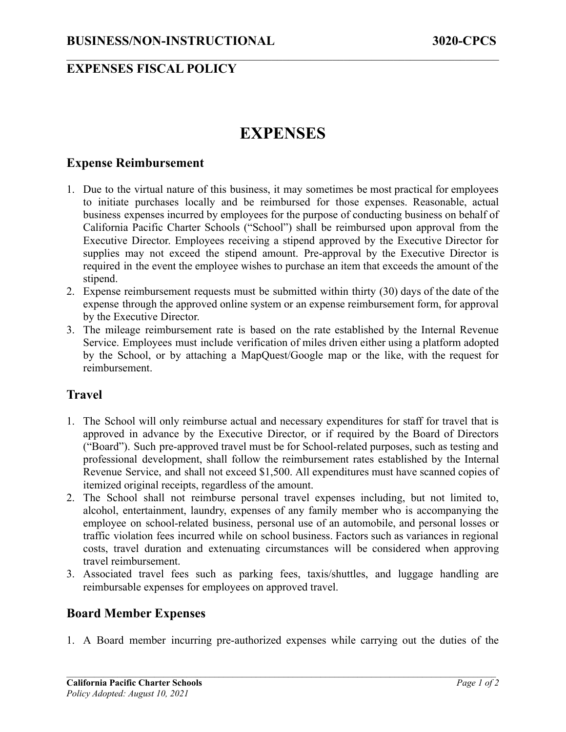### **EXPENSES FISCAL POLICY**

# **EXPENSES**

 $\mathcal{L}_\mathcal{L} = \{ \mathcal{L}_\mathcal{L} = \{ \mathcal{L}_\mathcal{L} = \{ \mathcal{L}_\mathcal{L} = \{ \mathcal{L}_\mathcal{L} = \{ \mathcal{L}_\mathcal{L} = \{ \mathcal{L}_\mathcal{L} = \{ \mathcal{L}_\mathcal{L} = \{ \mathcal{L}_\mathcal{L} = \{ \mathcal{L}_\mathcal{L} = \{ \mathcal{L}_\mathcal{L} = \{ \mathcal{L}_\mathcal{L} = \{ \mathcal{L}_\mathcal{L} = \{ \mathcal{L}_\mathcal{L} = \{ \mathcal{L}_\mathcal{$ 

#### **Expense Reimbursement**

- 1. Due to the virtual nature of this business, it may sometimes be most practical for employees to initiate purchases locally and be reimbursed for those expenses. Reasonable, actual business expenses incurred by employees for the purpose of conducting business on behalf of California Pacific Charter Schools ("School") shall be reimbursed upon approval from the Executive Director. Employees receiving a stipend approved by the Executive Director for supplies may not exceed the stipend amount. Pre-approval by the Executive Director is required in the event the employee wishes to purchase an item that exceeds the amount of the stipend.
- 2. Expense reimbursement requests must be submitted within thirty (30) days of the date of the expense through the approved online system or an expense reimbursement form, for approval by the Executive Director.
- 3. The mileage reimbursement rate is based on the rate established by the Internal Revenue Service. Employees must include verification of miles driven either using a platform adopted by the School, or by attaching a MapQuest/Google map or the like, with the request for reimbursement.

#### **Travel**

- 1. The School will only reimburse actual and necessary expenditures for staff for travel that is approved in advance by the Executive Director, or if required by the Board of Directors ("Board"). Such pre-approved travel must be for School-related purposes, such as testing and professional development, shall follow the reimbursement rates established by the Internal Revenue Service, and shall not exceed \$1,500. All expenditures must have scanned copies of itemized original receipts, regardless of the amount.
- 2. The School shall not reimburse personal travel expenses including, but not limited to, alcohol, entertainment, laundry, expenses of any family member who is accompanying the employee on school-related business, personal use of an automobile, and personal losses or traffic violation fees incurred while on school business. Factors such as variances in regional costs, travel duration and extenuating circumstances will be considered when approving travel reimbursement.
- 3. Associated travel fees such as parking fees, taxis/shuttles, and luggage handling are reimbursable expenses for employees on approved travel.

#### **Board Member Expenses**

1. A Board member incurring pre-authorized expenses while carrying out the duties of the

 $\mathcal{L}_\mathcal{L} = \{ \mathcal{L}_\mathcal{L} = \{ \mathcal{L}_\mathcal{L} = \{ \mathcal{L}_\mathcal{L} = \{ \mathcal{L}_\mathcal{L} = \{ \mathcal{L}_\mathcal{L} = \{ \mathcal{L}_\mathcal{L} = \{ \mathcal{L}_\mathcal{L} = \{ \mathcal{L}_\mathcal{L} = \{ \mathcal{L}_\mathcal{L} = \{ \mathcal{L}_\mathcal{L} = \{ \mathcal{L}_\mathcal{L} = \{ \mathcal{L}_\mathcal{L} = \{ \mathcal{L}_\mathcal{L} = \{ \mathcal{L}_\mathcal{$